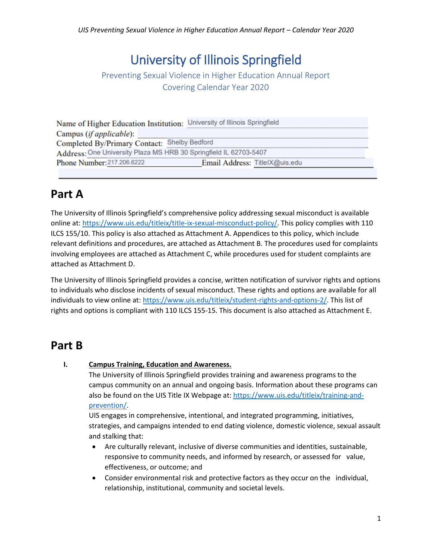# University of Illinois Springfield

### Preventing Sexual Violence in Higher Education Annual Report Covering Calendar Year 2020

|                                                                   | Name of Higher Education Institution: University of Illinois Springfield |  |  |  |  |  |
|-------------------------------------------------------------------|--------------------------------------------------------------------------|--|--|--|--|--|
| Campus (if applicable):                                           |                                                                          |  |  |  |  |  |
| Completed By/Primary Contact: Shelby Bedford                      |                                                                          |  |  |  |  |  |
| Address: One University Plaza MS HRB 30 Springfield IL 62703-5407 |                                                                          |  |  |  |  |  |
| Phone Number: 217.206.6222                                        | Email Address: TitleIX@uis.edu                                           |  |  |  |  |  |
|                                                                   |                                                                          |  |  |  |  |  |

## **Part A**

The University of Illinois Springfield's comprehensive policy addressing sexual misconduct is available online at[: https://www.uis.edu/titleix/title-ix-sexual-misconduct-policy/.](https://www.uis.edu/titleix/title-ix-sexual-misconduct-policy/) This policy complies with 110 ILCS 155/10. This policy is also attached as Attachment A. Appendices to this policy, which include relevant definitions and procedures, are attached as Attachment B. The procedures used for complaints involving employees are attached as Attachment C, while procedures used for student complaints are attached as Attachment D.

The University of Illinois Springfield provides a concise, written notification of survivor rights and options to individuals who disclose incidents of sexual misconduct. These rights and options are available for all individuals to view online at: [https://www.uis.edu/titleix/student-rights-and-options-2/.](https://www.uis.edu/titleix/student-rights-and-options-2/) This list of rights and options is compliant with 110 ILCS 155-15. This document is also attached as Attachment E.

## **Part B**

#### **I. Campus Training, Education and Awareness.**

The University of Illinois Springfield provides training and awareness programs to the campus community on an annual and ongoing basis. Information about these programs can also be found on the UIS Title IX Webpage at[: https://www.uis.edu/titleix/training-and](https://www.uis.edu/titleix/training-and-prevention/)[prevention/.](https://www.uis.edu/titleix/training-and-prevention/)

UIS engages in comprehensive, intentional, and integrated programming, initiatives, strategies, and campaigns intended to end dating violence, domestic violence, sexual assault and stalking that:

- Are culturally relevant, inclusive of diverse communities and identities, sustainable, responsive to community needs, and informed by research, or assessed for value, effectiveness, or outcome; and
- Consider environmental risk and protective factors as they occur on the individual, relationship, institutional, community and societal levels.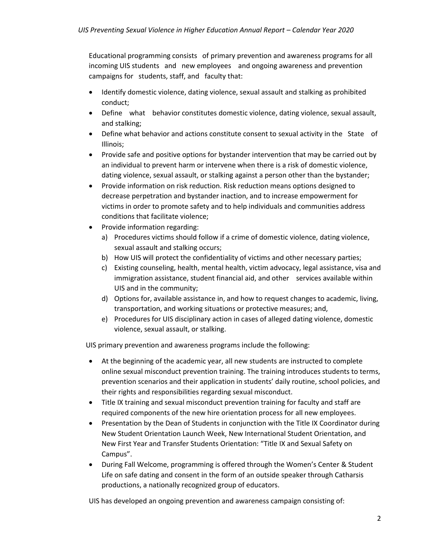Educational programming consists of primary prevention and awareness programs for all incoming UIS students and new employees and ongoing awareness and prevention campaigns for students, staff, and faculty that:

- Identify domestic violence, dating violence, sexual assault and stalking as prohibited conduct;
- Define what behavior constitutes domestic violence, dating violence, sexual assault, and stalking;
- Define what behavior and actions constitute consent to sexual activity in the State of Illinois;
- Provide safe and positive options for bystander intervention that may be carried out by an individual to prevent harm or intervene when there is a risk of domestic violence, dating violence, sexual assault, or stalking against a person other than the bystander;
- Provide information on risk reduction. Risk reduction means options designed to decrease perpetration and bystander inaction, and to increase empowerment for victims in order to promote safety and to help individuals and communities address conditions that facilitate violence;
- Provide information regarding:
	- a) Procedures victims should follow if a crime of domestic violence, dating violence, sexual assault and stalking occurs;
	- b) How UIS will protect the confidentiality of victims and other necessary parties;
	- c) Existing counseling, health, mental health, victim advocacy, legal assistance, visa and immigration assistance, student financial aid, and other services available within UIS and in the community;
	- d) Options for, available assistance in, and how to request changes to academic, living, transportation, and working situations or protective measures; and,
	- e) Procedures for UIS disciplinary action in cases of alleged dating violence, domestic violence, sexual assault, or stalking.

UIS primary prevention and awareness programs include the following:

- At the beginning of the academic year, all new students are instructed to complete online sexual misconduct prevention training. The training introduces students to terms, prevention scenarios and their application in students' daily routine, school policies, and their rights and responsibilities regarding sexual misconduct.
- Title IX training and sexual misconduct prevention training for faculty and staff are required components of the new hire orientation process for all new employees.
- Presentation by the Dean of Students in conjunction with the Title IX Coordinator during New Student Orientation Launch Week, New International Student Orientation, and New First Year and Transfer Students Orientation: "Title IX and Sexual Safety on Campus".
- During Fall Welcome, programming is offered through the Women's Center & Student Life on safe dating and consent in the form of an outside speaker through Catharsis productions, a nationally recognized group of educators.

UIS has developed an ongoing prevention and awareness campaign consisting of: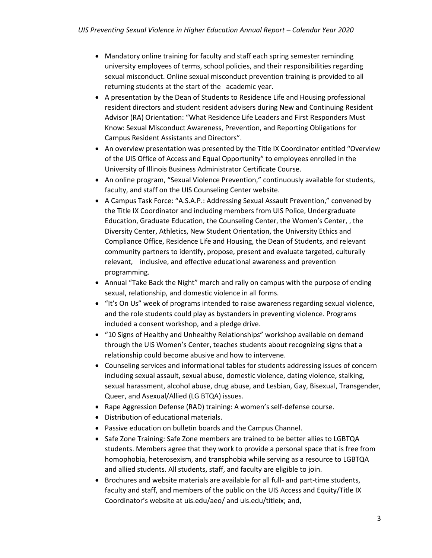- Mandatory online training for faculty and staff each spring semester reminding university employees of terms, school policies, and their responsibilities regarding sexual misconduct. Online sexual misconduct prevention training is provided to all returning students at the start of the academic year.
- A presentation by the Dean of Students to Residence Life and Housing professional resident directors and student resident advisers during New and Continuing Resident Advisor (RA) Orientation: "What Residence Life Leaders and First Responders Must Know: Sexual Misconduct Awareness, Prevention, and Reporting Obligations for Campus Resident Assistants and Directors".
- An overview presentation was presented by the Title IX Coordinator entitled "Overview of the UIS Office of Access and Equal Opportunity" to employees enrolled in the University of Illinois Business Administrator Certificate Course.
- An online program, "Sexual Violence Prevention," continuously available for students, faculty, and staff on the UIS Counseling Center website.
- A Campus Task Force: "A.S.A.P.: Addressing Sexual Assault Prevention," convened by the Title IX Coordinator and including members from UIS Police, Undergraduate Education, Graduate Education, the Counseling Center, the Women's Center, , the Diversity Center, Athletics, New Student Orientation, the University Ethics and Compliance Office, Residence Life and Housing, the Dean of Students, and relevant community partners to identify, propose, present and evaluate targeted, culturally relevant, inclusive, and effective educational awareness and prevention programming.
- Annual "Take Back the Night" march and rally on campus with the purpose of ending sexual, relationship, and domestic violence in all forms.
- "It's On Us" week of programs intended to raise awareness regarding sexual violence, and the role students could play as bystanders in preventing violence. Programs included a consent workshop, and a pledge drive.
- "10 Signs of Healthy and Unhealthy Relationships" workshop available on demand through the UIS Women's Center, teaches students about recognizing signs that a relationship could become abusive and how to intervene.
- Counseling services and informational tables for students addressing issues of concern including sexual assault, sexual abuse, domestic violence, dating violence, stalking, sexual harassment, alcohol abuse, drug abuse, and Lesbian, Gay, Bisexual, Transgender, Queer, and Asexual/Allied (LG BTQA) issues.
- Rape Aggression Defense (RAD) training: A women's self-defense course.
- Distribution of educational materials.
- Passive education on bulletin boards and the Campus Channel.
- Safe Zone Training: Safe Zone members are trained to be better allies to LGBTQA students. Members agree that they work to provide a personal space that is free from homophobia, heterosexism, and transphobia while serving as a resource to LGBTQA and allied students. All students, staff, and faculty are eligible to join.
- Brochures and website materials are available for all full- and part-time students, faculty and staff, and members of the public on the UIS Access and Equity/Title IX Coordinator's website at uis.edu/aeo/ and uis.edu/titleix; and,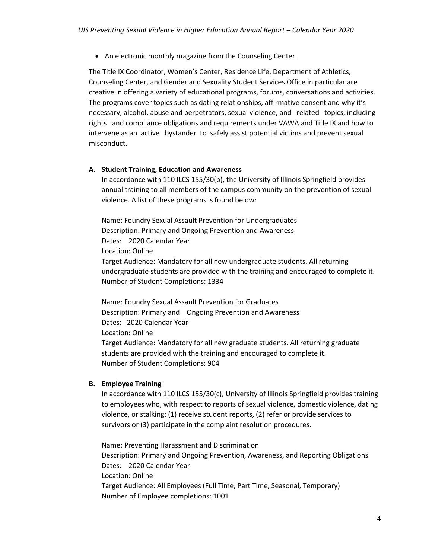• An electronic monthly magazine from the Counseling Center.

The Title IX Coordinator, Women's Center, Residence Life, Department of Athletics, Counseling Center, and Gender and Sexuality Student Services Office in particular are creative in offering a variety of educational programs, forums, conversations and activities. The programs cover topics such as dating relationships, affirmative consent and why it's necessary, alcohol, abuse and perpetrators, sexual violence, and related topics, including rights and compliance obligations and requirements under VAWA and Title IX and how to intervene as an active bystander to safely assist potential victims and prevent sexual misconduct.

#### **A. Student Training, Education and Awareness**

In accordance with 110 ILCS 155/30(b), the University of Illinois Springfield provides annual training to all members of the campus community on the prevention of sexual violence. A list of these programs is found below:

Name: Foundry Sexual Assault Prevention for Undergraduates Description: Primary and Ongoing Prevention and Awareness Dates: 2020 Calendar Year Location: Online Target Audience: Mandatory for all new undergraduate students. All returning undergraduate students are provided with the training and encouraged to complete it. Number of Student Completions: 1334

Name: Foundry Sexual Assault Prevention for Graduates Description: Primary and Ongoing Prevention and Awareness Dates: 2020 Calendar Year Location: Online Target Audience: Mandatory for all new graduate students. All returning graduate students are provided with the training and encouraged to complete it. Number of Student Completions: 904

#### **B. Employee Training**

In accordance with 110 ILCS 155/30(c), University of Illinois Springfield provides training to employees who, with respect to reports of sexual violence, domestic violence, dating violence, or stalking: (1) receive student reports, (2) refer or provide services to survivors or (3) participate in the complaint resolution procedures.

Name: Preventing Harassment and Discrimination Description: Primary and Ongoing Prevention, Awareness, and Reporting Obligations Dates: 2020 Calendar Year Location: Online Target Audience: All Employees (Full Time, Part Time, Seasonal, Temporary) Number of Employee completions: 1001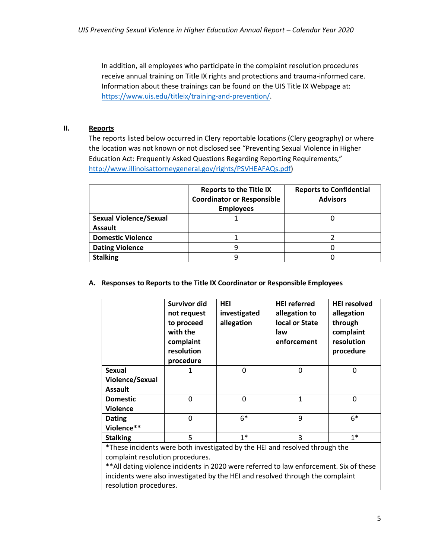In addition, all employees who participate in the complaint resolution procedures receive annual training on Title IX rights and protections and trauma-informed care. Information about these trainings can be found on the UIS Title IX Webpage at: [https://www.uis.edu/titleix/training-and-prevention/.](https://www.uis.edu/titleix/training-and-prevention/)

#### **II. Reports**

The reports listed below occurred in Clery reportable locations (Clery geography) or where the location was not known or not disclosed see "Preventing Sexual Violence in Higher Education Act: Frequently Asked Questions Regarding Reporting Requirements," [http://www.illinoisattorneygeneral.gov/rights/PSVHEAFAQs.pdf\)](http://www.illinoisattorneygeneral.gov/rights/PSVHEAFAQs.pdf)

|                               | <b>Reports to the Title IX</b><br><b>Coordinator or Responsible</b><br><b>Employees</b> | <b>Reports to Confidential</b><br><b>Advisors</b> |  |
|-------------------------------|-----------------------------------------------------------------------------------------|---------------------------------------------------|--|
| <b>Sexual Violence/Sexual</b> |                                                                                         |                                                   |  |
| <b>Assault</b>                |                                                                                         |                                                   |  |
| <b>Domestic Violence</b>      |                                                                                         |                                                   |  |
| <b>Dating Violence</b>        | q                                                                                       |                                                   |  |
| <b>Stalking</b>               |                                                                                         |                                                   |  |

#### **A. Responses to Reports to the Title IX Coordinator or Responsible Employees**

|                 | Survivor did<br>not request<br>to proceed<br>with the<br>complaint<br>resolution<br>procedure | HEI<br>investigated<br>allegation | <b>HEI</b> referred<br>allegation to<br>local or State<br>law<br>enforcement | <b>HEI resolved</b><br>allegation<br>through<br>complaint<br>resolution<br>procedure |
|-----------------|-----------------------------------------------------------------------------------------------|-----------------------------------|------------------------------------------------------------------------------|--------------------------------------------------------------------------------------|
| <b>Sexual</b>   | 1                                                                                             | 0                                 | 0                                                                            | $\mathbf{0}$                                                                         |
| Violence/Sexual |                                                                                               |                                   |                                                                              |                                                                                      |
| <b>Assault</b>  |                                                                                               |                                   |                                                                              |                                                                                      |
| <b>Domestic</b> | $\Omega$                                                                                      | 0                                 | $\mathbf{1}$                                                                 | $\Omega$                                                                             |
| <b>Violence</b> |                                                                                               |                                   |                                                                              |                                                                                      |
| <b>Dating</b>   | $\Omega$                                                                                      | $6*$                              | 9                                                                            | $6*$                                                                                 |
| Violence**      |                                                                                               |                                   |                                                                              |                                                                                      |
| <b>Stalking</b> | 5                                                                                             | $1*$                              | 3                                                                            | $1*$                                                                                 |

\*These incidents were both investigated by the HEI and resolved through the complaint resolution procedures.

\*\*All dating violence incidents in 2020 were referred to law enforcement. Six of these incidents were also investigated by the HEI and resolved through the complaint resolution procedures.